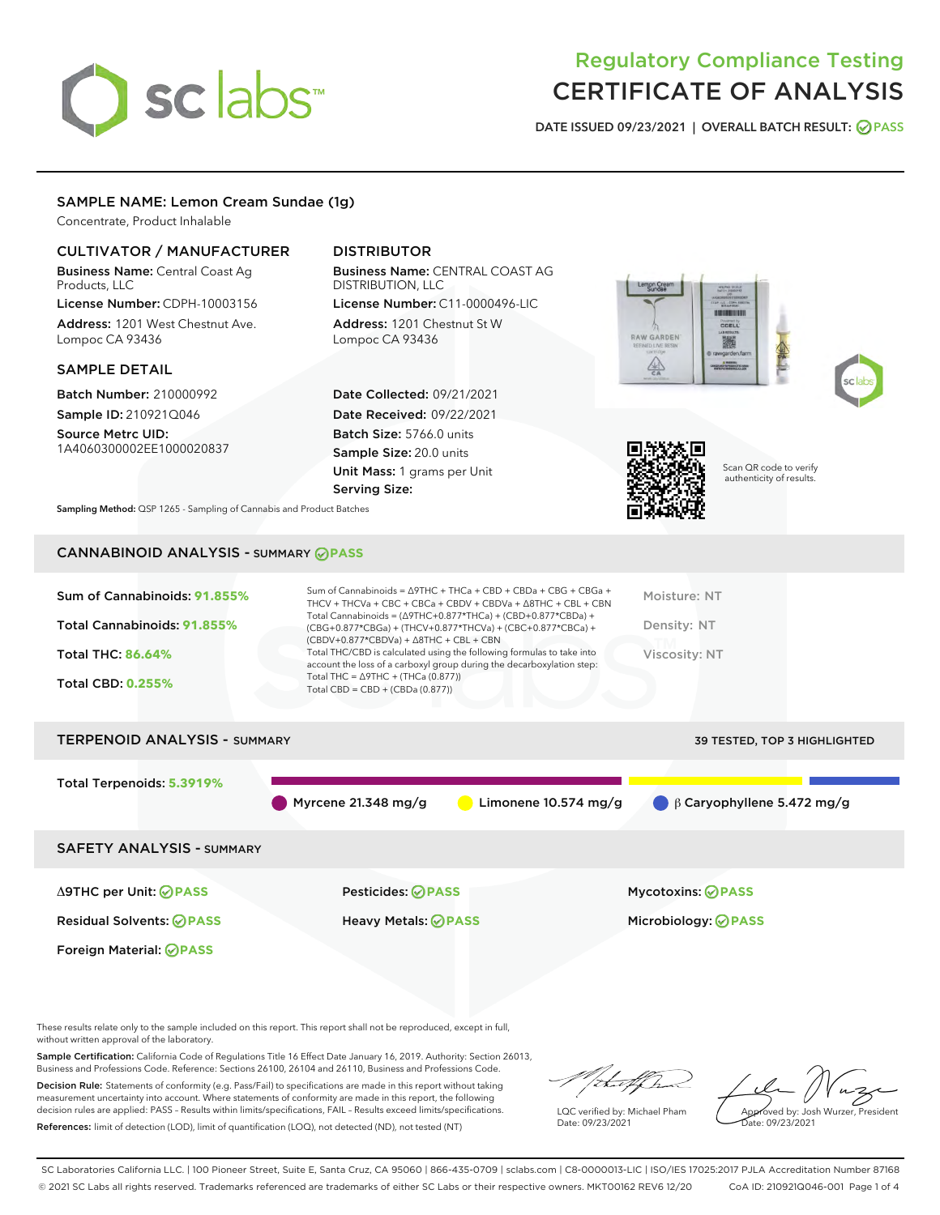# sclabs<sup>\*</sup>

# Regulatory Compliance Testing CERTIFICATE OF ANALYSIS

DATE ISSUED 09/23/2021 | OVERALL BATCH RESULT: @ PASS

# SAMPLE NAME: Lemon Cream Sundae (1g)

Concentrate, Product Inhalable

# CULTIVATOR / MANUFACTURER

Business Name: Central Coast Ag Products, LLC

License Number: CDPH-10003156 Address: 1201 West Chestnut Ave. Lompoc CA 93436

#### SAMPLE DETAIL

Batch Number: 210000992 Sample ID: 210921Q046

Source Metrc UID: 1A4060300002EE1000020837

# DISTRIBUTOR

Business Name: CENTRAL COAST AG DISTRIBUTION, LLC

License Number: C11-0000496-LIC Address: 1201 Chestnut St W Lompoc CA 93436

Date Collected: 09/21/2021 Date Received: 09/22/2021 Batch Size: 5766.0 units Sample Size: 20.0 units Unit Mass: 1 grams per Unit Serving Size:







Scan QR code to verify authenticity of results.

Sampling Method: QSP 1265 - Sampling of Cannabis and Product Batches

# CANNABINOID ANALYSIS - SUMMARY **PASS**



SAFETY ANALYSIS - SUMMARY

Δ9THC per Unit: **PASS** Pesticides: **PASS** Mycotoxins: **PASS**

Foreign Material: **PASS**

Residual Solvents: **PASS** Heavy Metals: **PASS** Microbiology: **PASS**

These results relate only to the sample included on this report. This report shall not be reproduced, except in full, without written approval of the laboratory.

Sample Certification: California Code of Regulations Title 16 Effect Date January 16, 2019. Authority: Section 26013, Business and Professions Code. Reference: Sections 26100, 26104 and 26110, Business and Professions Code.

Decision Rule: Statements of conformity (e.g. Pass/Fail) to specifications are made in this report without taking measurement uncertainty into account. Where statements of conformity are made in this report, the following decision rules are applied: PASS – Results within limits/specifications, FAIL – Results exceed limits/specifications. References: limit of detection (LOD), limit of quantification (LOQ), not detected (ND), not tested (NT)

that f(ha

LQC verified by: Michael Pham Date: 09/23/2021

Approved by: Josh Wurzer, President ate: 09/23/2021

SC Laboratories California LLC. | 100 Pioneer Street, Suite E, Santa Cruz, CA 95060 | 866-435-0709 | sclabs.com | C8-0000013-LIC | ISO/IES 17025:2017 PJLA Accreditation Number 87168 © 2021 SC Labs all rights reserved. Trademarks referenced are trademarks of either SC Labs or their respective owners. MKT00162 REV6 12/20 CoA ID: 210921Q046-001 Page 1 of 4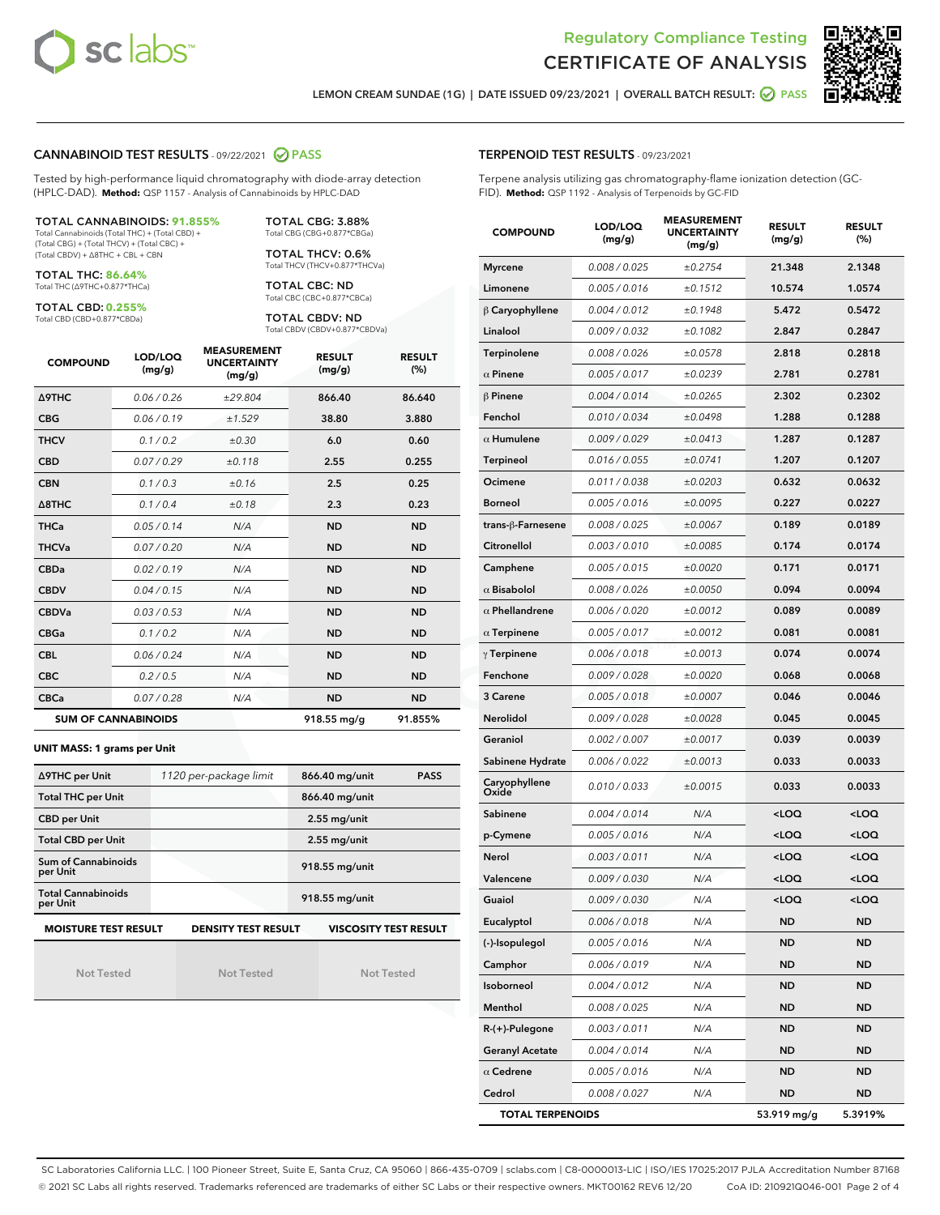



LEMON CREAM SUNDAE (1G) | DATE ISSUED 09/23/2021 | OVERALL BATCH RESULT: @ PASS

#### CANNABINOID TEST RESULTS - 09/22/2021 2 PASS

Tested by high-performance liquid chromatography with diode-array detection (HPLC-DAD). **Method:** QSP 1157 - Analysis of Cannabinoids by HPLC-DAD

#### TOTAL CANNABINOIDS: **91.855%**

Total Cannabinoids (Total THC) + (Total CBD) + (Total CBG) + (Total THCV) + (Total CBC) + (Total CBDV) + ∆8THC + CBL + CBN

TOTAL THC: **86.64%** Total THC (∆9THC+0.877\*THCa)

TOTAL CBD: **0.255%**

Total CBD (CBD+0.877\*CBDa)

TOTAL CBG: 3.88% Total CBG (CBG+0.877\*CBGa)

TOTAL THCV: 0.6% Total THCV (THCV+0.877\*THCVa)

TOTAL CBC: ND Total CBC (CBC+0.877\*CBCa)

TOTAL CBDV: ND Total CBDV (CBDV+0.877\*CBDVa)

| <b>COMPOUND</b>  | LOD/LOQ<br>(mg/g)          | <b>MEASUREMENT</b><br><b>UNCERTAINTY</b><br>(mg/g) | <b>RESULT</b><br>(mg/g) | <b>RESULT</b><br>(%) |
|------------------|----------------------------|----------------------------------------------------|-------------------------|----------------------|
| <b>A9THC</b>     | 0.06 / 0.26                | ±29.804                                            | 866.40                  | 86.640               |
| <b>CBG</b>       | 0.06/0.19                  | ±1.529                                             | 38.80                   | 3.880                |
| <b>THCV</b>      | 0.1 / 0.2                  | ±0.30                                              | 6.0                     | 0.60                 |
| <b>CBD</b>       | 0.07/0.29                  | ±0.118                                             | 2.55                    | 0.255                |
| <b>CBN</b>       | 0.1/0.3                    | ±0.16                                              | 2.5                     | 0.25                 |
| $\triangle$ 8THC | 0.1/0.4                    | ±0.18                                              | 2.3                     | 0.23                 |
| <b>THCa</b>      | 0.05/0.14                  | N/A                                                | <b>ND</b>               | <b>ND</b>            |
| <b>THCVa</b>     | 0.07/0.20                  | N/A                                                | <b>ND</b>               | <b>ND</b>            |
| <b>CBDa</b>      | 0.02/0.19                  | N/A                                                | <b>ND</b>               | <b>ND</b>            |
| <b>CBDV</b>      | 0.04 / 0.15                | N/A                                                | <b>ND</b>               | <b>ND</b>            |
| <b>CBDVa</b>     | 0.03/0.53                  | N/A                                                | <b>ND</b>               | <b>ND</b>            |
| <b>CBGa</b>      | 0.1/0.2                    | N/A                                                | <b>ND</b>               | <b>ND</b>            |
| <b>CBL</b>       | 0.06 / 0.24                | N/A                                                | <b>ND</b>               | <b>ND</b>            |
| <b>CBC</b>       | 0.2 / 0.5                  | N/A                                                | <b>ND</b>               | <b>ND</b>            |
| <b>CBCa</b>      | 0.07 / 0.28                | N/A                                                | <b>ND</b>               | <b>ND</b>            |
|                  | <b>SUM OF CANNABINOIDS</b> |                                                    | 918.55 mg/g             | 91.855%              |

#### **UNIT MASS: 1 grams per Unit**

| ∆9THC per Unit                                                                            | 1120 per-package limit | 866.40 mg/unit<br><b>PASS</b> |  |  |  |
|-------------------------------------------------------------------------------------------|------------------------|-------------------------------|--|--|--|
| <b>Total THC per Unit</b>                                                                 |                        | 866.40 mg/unit                |  |  |  |
| <b>CBD per Unit</b>                                                                       |                        | $2.55$ mg/unit                |  |  |  |
| <b>Total CBD per Unit</b>                                                                 |                        | $2.55$ mg/unit                |  |  |  |
| Sum of Cannabinoids<br>per Unit                                                           |                        | 918.55 mg/unit                |  |  |  |
| <b>Total Cannabinoids</b><br>per Unit                                                     |                        | 918.55 mg/unit                |  |  |  |
| <b>MOISTURE TEST RESULT</b><br><b>DENSITY TEST RESULT</b><br><b>VISCOSITY TEST RESULT</b> |                        |                               |  |  |  |

Not Tested

Not Tested

Not Tested

#### TERPENOID TEST RESULTS - 09/23/2021

Terpene analysis utilizing gas chromatography-flame ionization detection (GC-FID). **Method:** QSP 1192 - Analysis of Terpenoids by GC-FID

| <b>COMPOUND</b>         | LOD/LOQ<br>(mg/g) | <b>MEASUREMENT</b><br><b>UNCERTAINTY</b><br>(mg/g) | <b>RESULT</b><br>(mg/g)                         | <b>RESULT</b><br>(%) |
|-------------------------|-------------------|----------------------------------------------------|-------------------------------------------------|----------------------|
| <b>Myrcene</b>          | 0.008 / 0.025     | ±0.2754                                            | 21.348                                          | 2.1348               |
| Limonene                | 0.005 / 0.016     | ±0.1512                                            | 10.574                                          | 1.0574               |
| $\upbeta$ Caryophyllene | 0.004 / 0.012     | ±0.1948                                            | 5.472                                           | 0.5472               |
| Linalool                | 0.009 / 0.032     | ±0.1082                                            | 2.847                                           | 0.2847               |
| Terpinolene             | 0.008 / 0.026     | ±0.0578                                            | 2.818                                           | 0.2818               |
| $\alpha$ Pinene         | 0.005 / 0.017     | ±0.0239                                            | 2.781                                           | 0.2781               |
| $\beta$ Pinene          | 0.004 / 0.014     | ±0.0265                                            | 2.302                                           | 0.2302               |
| Fenchol                 | 0.010 / 0.034     | ±0.0498                                            | 1.288                                           | 0.1288               |
| $\alpha$ Humulene       | 0.009/0.029       | ±0.0413                                            | 1.287                                           | 0.1287               |
| <b>Terpineol</b>        | 0.016 / 0.055     | ±0.0741                                            | 1.207                                           | 0.1207               |
| Ocimene                 | 0.011 / 0.038     | ±0.0203                                            | 0.632                                           | 0.0632               |
| Borneol                 | 0.005 / 0.016     | ±0.0095                                            | 0.227                                           | 0.0227               |
| trans-ß-Farnesene       | 0.008 / 0.025     | ±0.0067                                            | 0.189                                           | 0.0189               |
| Citronellol             | 0.003 / 0.010     | ±0.0085                                            | 0.174                                           | 0.0174               |
| Camphene                | 0.005 / 0.015     | ±0.0020                                            | 0.171                                           | 0.0171               |
| $\alpha$ Bisabolol      | 0.008 / 0.026     | ±0.0050                                            | 0.094                                           | 0.0094               |
| $\alpha$ Phellandrene   | 0.006 / 0.020     | ±0.0012                                            | 0.089                                           | 0.0089               |
| $\alpha$ Terpinene      | 0.005 / 0.017     | ±0.0012                                            | 0.081                                           | 0.0081               |
| $\gamma$ Terpinene      | 0.006 / 0.018     | ±0.0013                                            | 0.074                                           | 0.0074               |
| Fenchone                | 0.009 / 0.028     | ±0.0020                                            | 0.068                                           | 0.0068               |
| 3 Carene                | 0.005 / 0.018     | ±0.0007                                            | 0.046                                           | 0.0046               |
| <b>Nerolidol</b>        | 0.009 / 0.028     | ±0.0028                                            | 0.045                                           | 0.0045               |
| Geraniol                | 0.002 / 0.007     | ±0.0017                                            | 0.039                                           | 0.0039               |
| Sabinene Hydrate        | 0.006 / 0.022     | ±0.0013                                            | 0.033                                           | 0.0033               |
| Caryophyllene<br>Oxide  | 0.010 / 0.033     | ±0.0015                                            | 0.033                                           | 0.0033               |
| Sabinene                | 0.004 / 0.014     | N/A                                                | <loq< th=""><th><loq< th=""></loq<></th></loq<> | <loq< th=""></loq<>  |
| p-Cymene                | 0.005 / 0.016     | N/A                                                | <loq< th=""><th><loq< th=""></loq<></th></loq<> | <loq< th=""></loq<>  |
| Nerol                   | 0.003 / 0.011     | N/A                                                | <loq< th=""><th><loq< th=""></loq<></th></loq<> | <loq< th=""></loq<>  |
| Valencene               | 0.009 / 0.030     | N/A                                                | <loq< th=""><th><loq< th=""></loq<></th></loq<> | <loq< th=""></loq<>  |
| Guaiol                  | 0.009 / 0.030     | N/A                                                | <loq< th=""><th><loq< th=""></loq<></th></loq<> | <loq< th=""></loq<>  |
| Eucalyptol              | 0.006 / 0.018     | N/A                                                | ND                                              | ND                   |
| (-)-Isopulegol          | 0.005 / 0.016     | N/A                                                | ND                                              | ND                   |
| Camphor                 | 0.006 / 0.019     | N/A                                                | ND                                              | ND                   |
| Isoborneol              | 0.004 / 0.012     | N/A                                                | ND                                              | <b>ND</b>            |
| Menthol                 | 0.008 / 0.025     | N/A                                                | ND                                              | ND                   |
| $R-(+)$ -Pulegone       | 0.003 / 0.011     | N/A                                                | ND                                              | ND                   |
| <b>Geranyl Acetate</b>  | 0.004 / 0.014     | N/A                                                | <b>ND</b>                                       | <b>ND</b>            |
| $\alpha$ Cedrene        | 0.005 / 0.016     | N/A                                                | ND                                              | ND                   |
| Cedrol                  | 0.008 / 0.027     | N/A                                                | <b>ND</b>                                       | ND                   |
| <b>TOTAL TERPENOIDS</b> |                   |                                                    | 53.919 mg/g                                     | 5.3919%              |

SC Laboratories California LLC. | 100 Pioneer Street, Suite E, Santa Cruz, CA 95060 | 866-435-0709 | sclabs.com | C8-0000013-LIC | ISO/IES 17025:2017 PJLA Accreditation Number 87168 © 2021 SC Labs all rights reserved. Trademarks referenced are trademarks of either SC Labs or their respective owners. MKT00162 REV6 12/20 CoA ID: 210921Q046-001 Page 2 of 4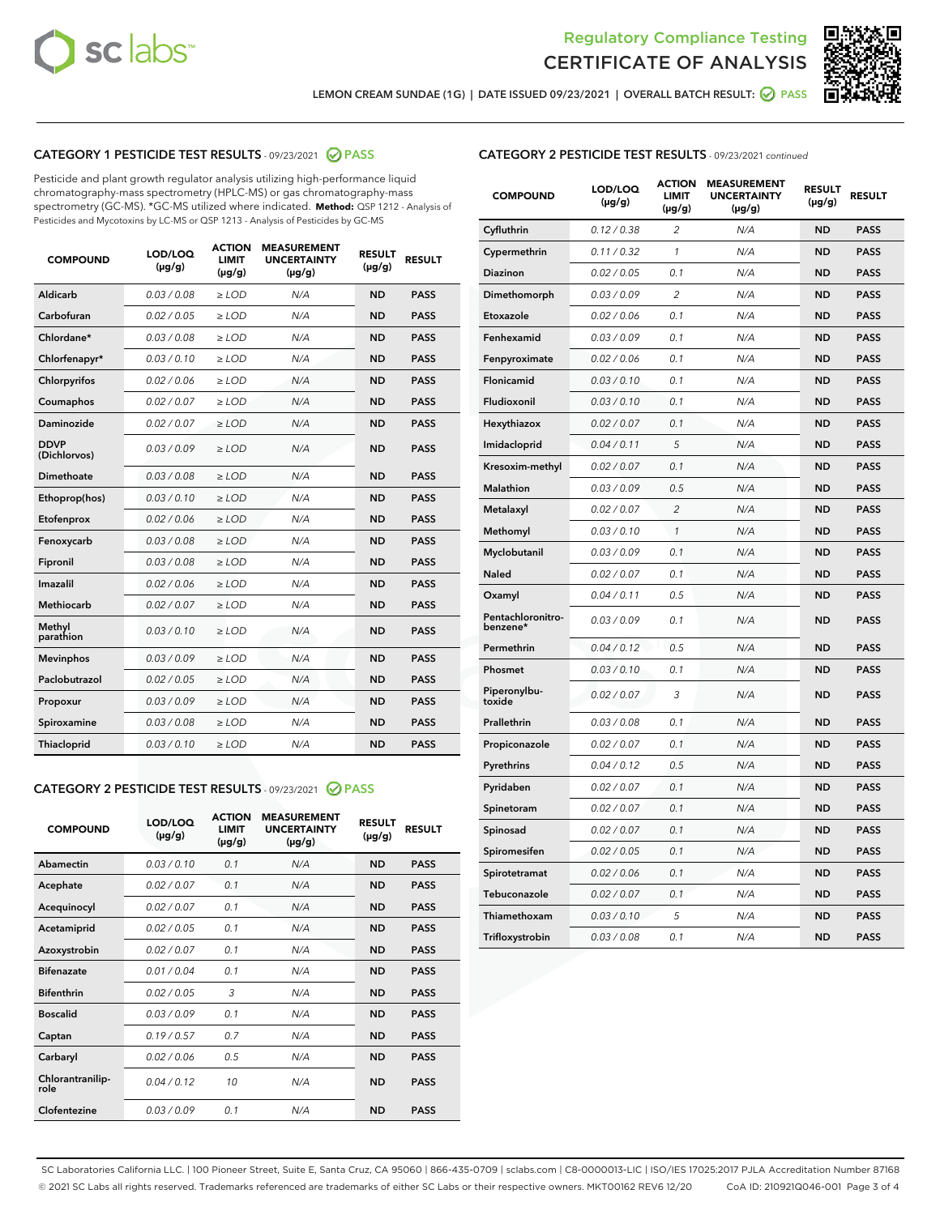



LEMON CREAM SUNDAE (1G) | DATE ISSUED 09/23/2021 | OVERALL BATCH RESULT: @ PASS

# CATEGORY 1 PESTICIDE TEST RESULTS - 09/23/2021 2 PASS

Pesticide and plant growth regulator analysis utilizing high-performance liquid chromatography-mass spectrometry (HPLC-MS) or gas chromatography-mass spectrometry (GC-MS). \*GC-MS utilized where indicated. **Method:** QSP 1212 - Analysis of Pesticides and Mycotoxins by LC-MS or QSP 1213 - Analysis of Pesticides by GC-MS

| <b>Aldicarb</b><br>0.03 / 0.08<br><b>ND</b><br>$\ge$ LOD<br>N/A<br><b>PASS</b><br>Carbofuran<br>0.02/0.05<br>$\ge$ LOD<br>N/A<br><b>ND</b><br><b>PASS</b><br>Chlordane*<br>0.03 / 0.08<br><b>ND</b><br>$>$ LOD<br>N/A<br><b>PASS</b><br>0.03/0.10<br><b>ND</b><br><b>PASS</b><br>Chlorfenapyr*<br>$\geq$ LOD<br>N/A<br>0.02 / 0.06<br>N/A<br><b>ND</b><br><b>PASS</b><br>Chlorpyrifos<br>$\geq$ LOD<br>0.02 / 0.07<br>N/A<br><b>ND</b><br><b>PASS</b><br>Coumaphos<br>$>$ LOD<br>Daminozide<br>0.02 / 0.07<br>$\ge$ LOD<br>N/A<br><b>ND</b><br><b>PASS</b><br><b>DDVP</b><br>0.03/0.09<br>$\ge$ LOD<br>N/A<br><b>ND</b><br><b>PASS</b><br>(Dichlorvos)<br>Dimethoate<br><b>ND</b><br><b>PASS</b><br>0.03 / 0.08<br>$>$ LOD<br>N/A<br>0.03/0.10<br>Ethoprop(hos)<br>$\ge$ LOD<br>N/A<br><b>ND</b><br><b>PASS</b><br>0.02 / 0.06<br>$\ge$ LOD<br>N/A<br><b>ND</b><br><b>PASS</b><br>Etofenprox<br>Fenoxycarb<br>0.03 / 0.08<br>$>$ LOD<br>N/A<br><b>ND</b><br><b>PASS</b><br>0.03 / 0.08<br><b>ND</b><br><b>PASS</b><br>Fipronil<br>$\ge$ LOD<br>N/A<br>Imazalil<br>0.02 / 0.06<br>$>$ LOD<br>N/A<br><b>ND</b><br><b>PASS</b><br>0.02 / 0.07<br>Methiocarb<br>N/A<br><b>ND</b><br>$>$ LOD<br><b>PASS</b><br>Methyl<br>0.03/0.10<br>$\ge$ LOD<br>N/A<br><b>ND</b><br><b>PASS</b><br>parathion<br>0.03/0.09<br>$\ge$ LOD<br>N/A<br><b>ND</b><br><b>PASS</b><br><b>Mevinphos</b><br>Paclobutrazol<br>0.02 / 0.05<br>$\ge$ LOD<br>N/A<br><b>ND</b><br><b>PASS</b><br>0.03/0.09<br>N/A<br>$\ge$ LOD<br><b>ND</b><br><b>PASS</b><br>Propoxur<br>0.03 / 0.08<br><b>ND</b><br><b>PASS</b><br>Spiroxamine<br>$\ge$ LOD<br>N/A<br><b>PASS</b><br>Thiacloprid<br>0.03/0.10<br>$\ge$ LOD<br>N/A<br><b>ND</b> | <b>COMPOUND</b> | LOD/LOQ<br>$(\mu g/g)$ | <b>ACTION</b><br>LIMIT<br>$(\mu g/g)$ | <b>MEASUREMENT</b><br><b>UNCERTAINTY</b><br>$(\mu g/g)$ | <b>RESULT</b><br>$(\mu g/g)$ | <b>RESULT</b> |
|------------------------------------------------------------------------------------------------------------------------------------------------------------------------------------------------------------------------------------------------------------------------------------------------------------------------------------------------------------------------------------------------------------------------------------------------------------------------------------------------------------------------------------------------------------------------------------------------------------------------------------------------------------------------------------------------------------------------------------------------------------------------------------------------------------------------------------------------------------------------------------------------------------------------------------------------------------------------------------------------------------------------------------------------------------------------------------------------------------------------------------------------------------------------------------------------------------------------------------------------------------------------------------------------------------------------------------------------------------------------------------------------------------------------------------------------------------------------------------------------------------------------------------------------------------------------------------------------------------------------------------------------------------------------------------------------|-----------------|------------------------|---------------------------------------|---------------------------------------------------------|------------------------------|---------------|
|                                                                                                                                                                                                                                                                                                                                                                                                                                                                                                                                                                                                                                                                                                                                                                                                                                                                                                                                                                                                                                                                                                                                                                                                                                                                                                                                                                                                                                                                                                                                                                                                                                                                                                |                 |                        |                                       |                                                         |                              |               |
|                                                                                                                                                                                                                                                                                                                                                                                                                                                                                                                                                                                                                                                                                                                                                                                                                                                                                                                                                                                                                                                                                                                                                                                                                                                                                                                                                                                                                                                                                                                                                                                                                                                                                                |                 |                        |                                       |                                                         |                              |               |
|                                                                                                                                                                                                                                                                                                                                                                                                                                                                                                                                                                                                                                                                                                                                                                                                                                                                                                                                                                                                                                                                                                                                                                                                                                                                                                                                                                                                                                                                                                                                                                                                                                                                                                |                 |                        |                                       |                                                         |                              |               |
|                                                                                                                                                                                                                                                                                                                                                                                                                                                                                                                                                                                                                                                                                                                                                                                                                                                                                                                                                                                                                                                                                                                                                                                                                                                                                                                                                                                                                                                                                                                                                                                                                                                                                                |                 |                        |                                       |                                                         |                              |               |
|                                                                                                                                                                                                                                                                                                                                                                                                                                                                                                                                                                                                                                                                                                                                                                                                                                                                                                                                                                                                                                                                                                                                                                                                                                                                                                                                                                                                                                                                                                                                                                                                                                                                                                |                 |                        |                                       |                                                         |                              |               |
|                                                                                                                                                                                                                                                                                                                                                                                                                                                                                                                                                                                                                                                                                                                                                                                                                                                                                                                                                                                                                                                                                                                                                                                                                                                                                                                                                                                                                                                                                                                                                                                                                                                                                                |                 |                        |                                       |                                                         |                              |               |
|                                                                                                                                                                                                                                                                                                                                                                                                                                                                                                                                                                                                                                                                                                                                                                                                                                                                                                                                                                                                                                                                                                                                                                                                                                                                                                                                                                                                                                                                                                                                                                                                                                                                                                |                 |                        |                                       |                                                         |                              |               |
|                                                                                                                                                                                                                                                                                                                                                                                                                                                                                                                                                                                                                                                                                                                                                                                                                                                                                                                                                                                                                                                                                                                                                                                                                                                                                                                                                                                                                                                                                                                                                                                                                                                                                                |                 |                        |                                       |                                                         |                              |               |
|                                                                                                                                                                                                                                                                                                                                                                                                                                                                                                                                                                                                                                                                                                                                                                                                                                                                                                                                                                                                                                                                                                                                                                                                                                                                                                                                                                                                                                                                                                                                                                                                                                                                                                |                 |                        |                                       |                                                         |                              |               |
|                                                                                                                                                                                                                                                                                                                                                                                                                                                                                                                                                                                                                                                                                                                                                                                                                                                                                                                                                                                                                                                                                                                                                                                                                                                                                                                                                                                                                                                                                                                                                                                                                                                                                                |                 |                        |                                       |                                                         |                              |               |
|                                                                                                                                                                                                                                                                                                                                                                                                                                                                                                                                                                                                                                                                                                                                                                                                                                                                                                                                                                                                                                                                                                                                                                                                                                                                                                                                                                                                                                                                                                                                                                                                                                                                                                |                 |                        |                                       |                                                         |                              |               |
|                                                                                                                                                                                                                                                                                                                                                                                                                                                                                                                                                                                                                                                                                                                                                                                                                                                                                                                                                                                                                                                                                                                                                                                                                                                                                                                                                                                                                                                                                                                                                                                                                                                                                                |                 |                        |                                       |                                                         |                              |               |
|                                                                                                                                                                                                                                                                                                                                                                                                                                                                                                                                                                                                                                                                                                                                                                                                                                                                                                                                                                                                                                                                                                                                                                                                                                                                                                                                                                                                                                                                                                                                                                                                                                                                                                |                 |                        |                                       |                                                         |                              |               |
|                                                                                                                                                                                                                                                                                                                                                                                                                                                                                                                                                                                                                                                                                                                                                                                                                                                                                                                                                                                                                                                                                                                                                                                                                                                                                                                                                                                                                                                                                                                                                                                                                                                                                                |                 |                        |                                       |                                                         |                              |               |
|                                                                                                                                                                                                                                                                                                                                                                                                                                                                                                                                                                                                                                                                                                                                                                                                                                                                                                                                                                                                                                                                                                                                                                                                                                                                                                                                                                                                                                                                                                                                                                                                                                                                                                |                 |                        |                                       |                                                         |                              |               |
|                                                                                                                                                                                                                                                                                                                                                                                                                                                                                                                                                                                                                                                                                                                                                                                                                                                                                                                                                                                                                                                                                                                                                                                                                                                                                                                                                                                                                                                                                                                                                                                                                                                                                                |                 |                        |                                       |                                                         |                              |               |
|                                                                                                                                                                                                                                                                                                                                                                                                                                                                                                                                                                                                                                                                                                                                                                                                                                                                                                                                                                                                                                                                                                                                                                                                                                                                                                                                                                                                                                                                                                                                                                                                                                                                                                |                 |                        |                                       |                                                         |                              |               |
|                                                                                                                                                                                                                                                                                                                                                                                                                                                                                                                                                                                                                                                                                                                                                                                                                                                                                                                                                                                                                                                                                                                                                                                                                                                                                                                                                                                                                                                                                                                                                                                                                                                                                                |                 |                        |                                       |                                                         |                              |               |
|                                                                                                                                                                                                                                                                                                                                                                                                                                                                                                                                                                                                                                                                                                                                                                                                                                                                                                                                                                                                                                                                                                                                                                                                                                                                                                                                                                                                                                                                                                                                                                                                                                                                                                |                 |                        |                                       |                                                         |                              |               |
|                                                                                                                                                                                                                                                                                                                                                                                                                                                                                                                                                                                                                                                                                                                                                                                                                                                                                                                                                                                                                                                                                                                                                                                                                                                                                                                                                                                                                                                                                                                                                                                                                                                                                                |                 |                        |                                       |                                                         |                              |               |
|                                                                                                                                                                                                                                                                                                                                                                                                                                                                                                                                                                                                                                                                                                                                                                                                                                                                                                                                                                                                                                                                                                                                                                                                                                                                                                                                                                                                                                                                                                                                                                                                                                                                                                |                 |                        |                                       |                                                         |                              |               |

#### CATEGORY 2 PESTICIDE TEST RESULTS - 09/23/2021 @ PASS

| <b>COMPOUND</b>          | LOD/LOO<br>$(\mu g/g)$ | <b>ACTION</b><br>LIMIT<br>$(\mu g/g)$ | <b>MEASUREMENT</b><br><b>UNCERTAINTY</b><br>$(\mu g/g)$ | <b>RESULT</b><br>$(\mu g/g)$ | <b>RESULT</b> |
|--------------------------|------------------------|---------------------------------------|---------------------------------------------------------|------------------------------|---------------|
| Abamectin                | 0.03/0.10              | 0.1                                   | N/A                                                     | <b>ND</b>                    | <b>PASS</b>   |
| Acephate                 | 0.02/0.07              | 0.1                                   | N/A                                                     | <b>ND</b>                    | <b>PASS</b>   |
| Acequinocyl              | 0.02/0.07              | 0.1                                   | N/A                                                     | <b>ND</b>                    | <b>PASS</b>   |
| Acetamiprid              | 0.02/0.05              | 0.1                                   | N/A                                                     | <b>ND</b>                    | <b>PASS</b>   |
| Azoxystrobin             | 0.02/0.07              | 0.1                                   | N/A                                                     | <b>ND</b>                    | <b>PASS</b>   |
| <b>Bifenazate</b>        | 0.01 / 0.04            | 0.1                                   | N/A                                                     | <b>ND</b>                    | <b>PASS</b>   |
| <b>Bifenthrin</b>        | 0.02 / 0.05            | 3                                     | N/A                                                     | <b>ND</b>                    | <b>PASS</b>   |
| <b>Boscalid</b>          | 0.03/0.09              | 0.1                                   | N/A                                                     | <b>ND</b>                    | <b>PASS</b>   |
| Captan                   | 0.19/0.57              | 0.7                                   | N/A                                                     | <b>ND</b>                    | <b>PASS</b>   |
| Carbaryl                 | 0.02/0.06              | 0.5                                   | N/A                                                     | <b>ND</b>                    | <b>PASS</b>   |
| Chlorantranilip-<br>role | 0.04/0.12              | 10                                    | N/A                                                     | <b>ND</b>                    | <b>PASS</b>   |
| Clofentezine             | 0.03/0.09              | 0.1                                   | N/A                                                     | <b>ND</b>                    | <b>PASS</b>   |

# CATEGORY 2 PESTICIDE TEST RESULTS - 09/23/2021 continued

| <b>COMPOUND</b>               | LOD/LOQ<br>(µg/g) | <b>ACTION</b><br><b>LIMIT</b><br>$(\mu g/g)$ | <b>MEASUREMENT</b><br><b>UNCERTAINTY</b><br>$(\mu g/g)$ | <b>RESULT</b><br>(µg/g) | <b>RESULT</b> |
|-------------------------------|-------------------|----------------------------------------------|---------------------------------------------------------|-------------------------|---------------|
| Cyfluthrin                    | 0.12 / 0.38       | $\overline{c}$                               | N/A                                                     | <b>ND</b>               | <b>PASS</b>   |
| Cypermethrin                  | 0.11 / 0.32       | 1                                            | N/A                                                     | ND                      | <b>PASS</b>   |
| <b>Diazinon</b>               | 0.02 / 0.05       | 0.1                                          | N/A                                                     | ND                      | <b>PASS</b>   |
| Dimethomorph                  | 0.03 / 0.09       | 2                                            | N/A                                                     | ND                      | <b>PASS</b>   |
| Etoxazole                     | 0.02 / 0.06       | 0.1                                          | N/A                                                     | ND                      | <b>PASS</b>   |
| Fenhexamid                    | 0.03 / 0.09       | 0.1                                          | N/A                                                     | <b>ND</b>               | <b>PASS</b>   |
| Fenpyroximate                 | 0.02 / 0.06       | 0.1                                          | N/A                                                     | ND                      | <b>PASS</b>   |
| Flonicamid                    | 0.03 / 0.10       | 0.1                                          | N/A                                                     | ND                      | <b>PASS</b>   |
| Fludioxonil                   | 0.03 / 0.10       | 0.1                                          | N/A                                                     | <b>ND</b>               | <b>PASS</b>   |
| Hexythiazox                   | 0.02 / 0.07       | 0.1                                          | N/A                                                     | <b>ND</b>               | <b>PASS</b>   |
| Imidacloprid                  | 0.04 / 0.11       | 5                                            | N/A                                                     | ND                      | <b>PASS</b>   |
| Kresoxim-methyl               | 0.02 / 0.07       | 0.1                                          | N/A                                                     | <b>ND</b>               | <b>PASS</b>   |
| <b>Malathion</b>              | 0.03 / 0.09       | 0.5                                          | N/A                                                     | <b>ND</b>               | <b>PASS</b>   |
| Metalaxyl                     | 0.02 / 0.07       | $\overline{c}$                               | N/A                                                     | ND                      | <b>PASS</b>   |
| Methomyl                      | 0.03 / 0.10       | 1                                            | N/A                                                     | <b>ND</b>               | <b>PASS</b>   |
| Myclobutanil                  | 0.03 / 0.09       | 0.1                                          | N/A                                                     | ND                      | <b>PASS</b>   |
| Naled                         | 0.02 / 0.07       | 0.1                                          | N/A                                                     | ND                      | <b>PASS</b>   |
| Oxamyl                        | 0.04 / 0.11       | 0.5                                          | N/A                                                     | ND                      | <b>PASS</b>   |
| Pentachloronitro-<br>benzene* | 0.03 / 0.09       | 0.1                                          | N/A                                                     | ND                      | <b>PASS</b>   |
| Permethrin                    | 0.04 / 0.12       | 0.5                                          | N/A                                                     | ND                      | <b>PASS</b>   |
| Phosmet                       | 0.03 / 0.10       | 0.1                                          | N/A                                                     | <b>ND</b>               | <b>PASS</b>   |
| Piperonylbu-<br>toxide        | 0.02 / 0.07       | 3                                            | N/A                                                     | ND                      | <b>PASS</b>   |
| Prallethrin                   | 0.03 / 0.08       | 0.1                                          | N/A                                                     | <b>ND</b>               | <b>PASS</b>   |
| Propiconazole                 | 0.02 / 0.07       | 0.1                                          | N/A                                                     | ND                      | <b>PASS</b>   |
| Pyrethrins                    | 0.04 / 0.12       | 0.5                                          | N/A                                                     | ND                      | <b>PASS</b>   |
| Pyridaben                     | 0.02 / 0.07       | 0.1                                          | N/A                                                     | ND                      | <b>PASS</b>   |
| Spinetoram                    | 0.02 / 0.07       | 0.1                                          | N/A                                                     | <b>ND</b>               | <b>PASS</b>   |
| Spinosad                      | 0.02 / 0.07       | 0.1                                          | N/A                                                     | ND                      | <b>PASS</b>   |
| Spiromesifen                  | 0.02 / 0.05       | 0.1                                          | N/A                                                     | <b>ND</b>               | <b>PASS</b>   |
| Spirotetramat                 | 0.02 / 0.06       | 0.1                                          | N/A                                                     | ND                      | <b>PASS</b>   |
| Tebuconazole                  | 0.02 / 0.07       | 0.1                                          | N/A                                                     | ND                      | <b>PASS</b>   |
| Thiamethoxam                  | 0.03 / 0.10       | 5                                            | N/A                                                     | <b>ND</b>               | <b>PASS</b>   |
| Trifloxystrobin               | 0.03 / 0.08       | 0.1                                          | N/A                                                     | <b>ND</b>               | <b>PASS</b>   |

SC Laboratories California LLC. | 100 Pioneer Street, Suite E, Santa Cruz, CA 95060 | 866-435-0709 | sclabs.com | C8-0000013-LIC | ISO/IES 17025:2017 PJLA Accreditation Number 87168 © 2021 SC Labs all rights reserved. Trademarks referenced are trademarks of either SC Labs or their respective owners. MKT00162 REV6 12/20 CoA ID: 210921Q046-001 Page 3 of 4